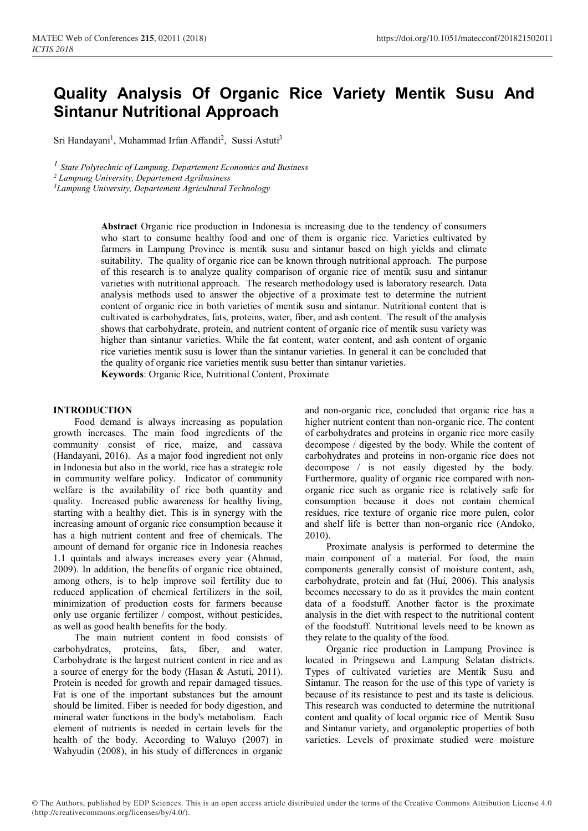# **Quality Analysis Of Organic Rice Variety Mentik Susu And Sintanur Nutritional Approach**

Sri Handayani<sup>1</sup>, Muhammad Irfan Affandi<sup>2</sup>, Sussi Astuti<sup>3</sup>

*1 State Polytechnic of Lampung, Departement Economics and Business*

*<sup>2</sup> Lampung University, Departement Agribusiness*

*<sup>3</sup>Lampung University, Departement Agricultural Technology*

**Abstract** Organic rice production in Indonesia is increasing due to the tendency of consumers who start to consume healthy food and one of them is organic rice. Varieties cultivated by farmers in Lampung Province is mentik susu and sintanur based on high yields and climate suitability. The quality of organic rice can be known through nutritional approach. The purpose of this research is to analyze quality comparison of organic rice of mentik susu and sintanur varieties with nutritional approach. The research methodology used is laboratory research. Data analysis methods used to answer the objective of a proximate test to determine the nutrient content of organic rice in both varieties of mentik susu and sintanur. Nutritional content that is cultivated is carbohydrates, fats, proteins, water, fiber, and ash content. The result of the analysis shows that carbohydrate, protein, and nutrient content of organic rice of mentik susu variety was higher than sintanur varieties. While the fat content, water content, and ash content of organic rice varieties mentik susu is lower than the sintanur varieties. In general it can be concluded that the quality of organic rice varieties mentik susu better than sintanur varieties. **Keywords**: Organic Rice, Nutritional Content, Proximate

#### **INTRODUCTION**

Food demand is always increasing as population growth increases. The main food ingredients of the community consist of rice, maize, and cassava (Handayani, 2016). As a major food ingredient not only in Indonesia but also in the world, rice has a strategic role in community welfare policy. Indicator of community welfare is the availability of rice both quantity and quality. Increased public awareness for healthy living, starting with a healthy diet. This is in synergy with the increasing amount of organic rice consumption because it has a high nutrient content and free of chemicals. The amount of demand for organic rice in Indonesia reaches 1.1 quintals and always increases every year (Ahmad, 2009). In addition, the benefits of organic rice obtained, among others, is to help improve soil fertility due to reduced application of chemical fertilizers in the soil, minimization of production costs for farmers because only use organic fertilizer / compost, without pesticides, as well as good health benefits for the body.

The main nutrient content in food consists of carbohydrates, proteins, fats, fiber, and water. Carbohydrate is the largest nutrient content in rice and as a source of energy for the body (Hasan & Astuti, 2011). Protein is needed for growth and repair damaged tissues. Fat is one of the important substances but the amount should be limited. Fiber is needed for body digestion, and mineral water functions in the body's metabolism. Each element of nutrients is needed in certain levels for the health of the body. According to Waluyo (2007) in Wahyudin (2008), in his study of differences in organic

and non-organic rice, concluded that organic rice has a higher nutrient content than non-organic rice. The content of carbohydrates and proteins in organic rice more easily decompose / digested by the body. While the content of carbohydrates and proteins in non-organic rice does not decompose / is not easily digested by the body. Furthermore, quality of organic rice compared with nonorganic rice such as organic rice is relatively safe for consumption because it does not contain chemical residues, rice texture of organic rice more pulen, color and shelf life is better than non-organic rice (Andoko, 2010).

Proximate analysis is performed to determine the main component of a material. For food, the main components generally consist of moisture content, ash, carbohydrate, protein and fat (Hui, 2006). This analysis becomes necessary to do as it provides the main content data of a foodstuff. Another factor is the proximate analysis in the diet with respect to the nutritional content of the foodstuff. Nutritional levels need to be known as they relate to the quality of the food.

Organic rice production in Lampung Province is located in Pringsewu and Lampung Selatan districts. Types of cultivated varieties are Mentik Susu and Sintanur. The reason for the use of this type of variety is because of its resistance to pest and its taste is delicious. This research was conducted to determine the nutritional content and quality of local organic rice of Mentik Susu and Sintanur variety, and organoleptic properties of both varieties. Levels of proximate studied were moisture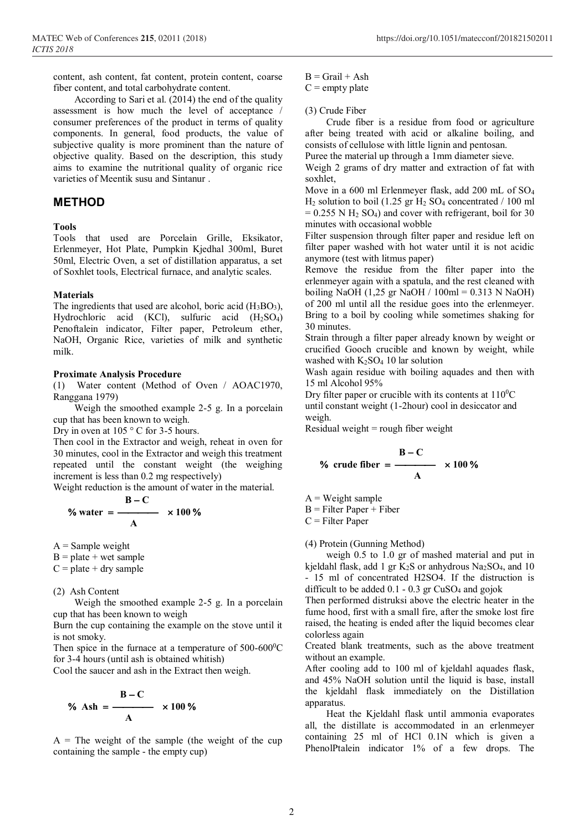content, ash content, fat content, protein content, coarse fiber content, and total carbohydrate content.

According to Sari et al. (2014) the end of the quality assessment is how much the level of acceptance / consumer preferences of the product in terms of quality components. In general, food products, the value of subjective quality is more prominent than the nature of objective quality. Based on the description, this study aims to examine the nutritional quality of organic rice varieties of Meentik susu and Sintanur .

# **METHOD**

## **Tools**

Tools that used are Porcelain Grille, Eksikator, Erlenmeyer, Hot Plate, Pumpkin Kjedhal 300ml, Buret 50ml, Electric Oven, a set of distillation apparatus, a set of Soxhlet tools, Electrical furnace, and analytic scales.

#### **Materials**

The ingredients that used are alcohol, boric acid  $(H_3BO_3)$ , Hydrochloric acid (KCl), sulfuric acid (H2SO4) Penoftalein indicator, Filter paper, Petroleum ether, NaOH, Organic Rice, varieties of milk and synthetic milk.

#### **Proximate Analysis Procedure**

(1) Water content (Method of Oven / AOAC1970, Ranggana 1979)

Weigh the smoothed example 2-5 g. In a porcelain cup that has been known to weigh.

Dry in oven at 105 °C for 3-5 hours.

Then cool in the Extractor and weigh, reheat in oven for 30 minutes, cool in the Extractor and weigh this treatment repeated until the constant weight (the weighing increment is less than 0.2 mg respectively)

Weight reduction is the amount of water in the material.

$$
\% \text{ water} = \frac{\text{B} - \text{C}}{\text{A}} \times 100 \%
$$

 $A =$  Sample weight

 $B = plate + wet sample$ 

 $C = plate + dry sample$ 

#### (2) Ash Content

Weigh the smoothed example 2-5 g. In a porcelain cup that has been known to weigh

Burn the cup containing the example on the stove until it is not smoky.

Then spice in the furnace at a temperature of  $500-600^{\circ}$ C for 3-4 hours (until ash is obtained whitish)

Cool the saucer and ash in the Extract then weigh.

$$
\% \text{ Ash} = \frac{\text{B} - \text{C}}{\text{A}} \times 100\%
$$

 $A =$ The weight of the sample (the weight of the cup containing the sample - the empty cup)

 $B =$  Grail + Ash

 $C =$  empty plate

#### (3) Crude Fiber

Crude fiber is a residue from food or agriculture after being treated with acid or alkaline boiling, and consists of cellulose with little lignin and pentosan.

Puree the material up through a 1mm diameter sieve.

Weigh 2 grams of dry matter and extraction of fat with soxhlet,

Move in a 600 ml Erlenmeyer flask, add 200 mL of SO<sup>4</sup>  $H_2$  solution to boil (1.25 gr  $H_2$  SO<sub>4</sub> concentrated / 100 ml  $= 0.255$  N H<sub>2</sub> SO<sub>4</sub>) and cover with refrigerant, boil for 30 minutes with occasional wobble

Filter suspension through filter paper and residue left on filter paper washed with hot water until it is not acidic anymore (test with litmus paper)

Remove the residue from the filter paper into the erlenmeyer again with a spatula, and the rest cleaned with boiling NaOH (1,25 gr NaOH / 100ml = 0.313 N NaOH) of 200 ml until all the residue goes into the erlenmeyer. Bring to a boil by cooling while sometimes shaking for 30 minutes.

Strain through a filter paper already known by weight or crucified Gooch crucible and known by weight, while washed with  $K_2SO_4$  10 lar solution

Wash again residue with boiling aquades and then with 15 ml Alcohol 95%

Dry filter paper or crucible with its contents at  $110^0C$ 

until constant weight (1-2hour) cool in desiccator and weigh.

Residual weight  $=$  rough fiber weight

% crude fiber = 
$$
\frac{B - C}{A} \times 100\%
$$

 $A = Weight sample$ 

 $B =$  Filter Paper + Fiber

 $C =$  Filter Paper

(4) Protein (Gunning Method)

weigh 0.5 to 1.0 gr of mashed material and put in kjeldahl flask, add 1 gr K<sub>2</sub>S or anhydrous Na<sub>2</sub>SO<sub>4</sub>, and 10 - 15 ml of concentrated H2SO4. If the distruction is difficult to be added  $0.1 - 0.3$  gr CuSO<sub>4</sub> and gojok

Then performed distruksi above the electric heater in the fume hood, first with a small fire, after the smoke lost fire raised, the heating is ended after the liquid becomes clear colorless again

Created blank treatments, such as the above treatment without an example.

After cooling add to 100 ml of kjeldahl aquades flask, and 45% NaOH solution until the liquid is base, install the kjeldahl flask immediately on the Distillation apparatus.

Heat the Kjeldahl flask until ammonia evaporates all, the distillate is accommodated in an erlenmeyer containing 25 ml of HCl 0.1N which is given a PhenolPtalein indicator 1% of a few drops. The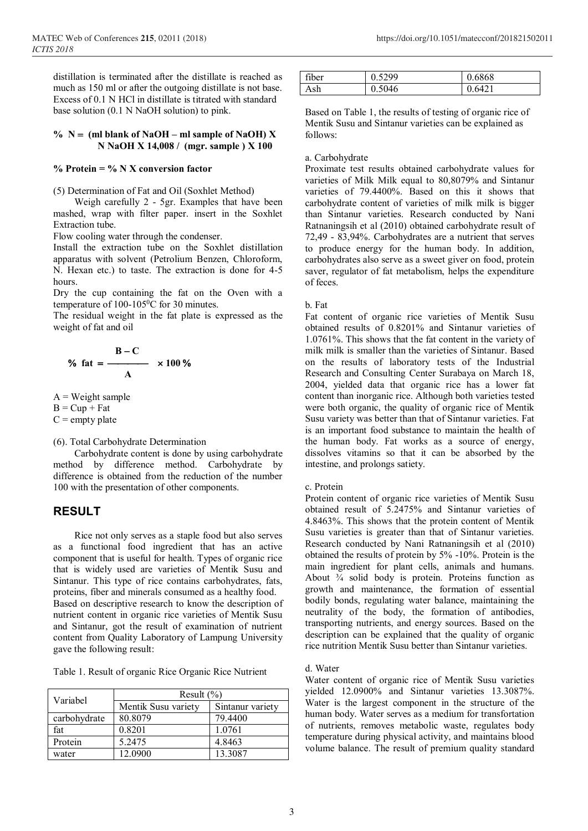distillation is terminated after the distillate is reached as much as 150 ml or after the outgoing distillate is not base. Excess of 0.1 N HCl in distillate is titrated with standard base solution (0.1 N NaOH solution) to pink.

#### $\%$  N = (ml blank of NaOH – ml sample of NaOH) X **N NaOH X 14,008 / (mgr. sample ) X 100**

#### **% Protein = % N X conversion factor**

(5) Determination of Fat and Oil (Soxhlet Method)

Weigh carefully 2 - 5gr. Examples that have been mashed, wrap with filter paper. insert in the Soxhlet Extraction tube.

Flow cooling water through the condenser.

Install the extraction tube on the Soxhlet distillation apparatus with solvent (Petrolium Benzen, Chloroform, N. Hexan etc.) to taste. The extraction is done for 4-5 hours.

Dry the cup containing the fat on the Oven with a temperature of  $100-105^{\circ}$ C for 30 minutes.

The residual weight in the fat plate is expressed as the weight of fat and oil

% fat = 
$$
\frac{B-C}{A} \times 100\%
$$

 $A = Weight sample$ 

 $B = Cup + Fat$ 

 $C =$  empty plate

(6). Total Carbohydrate Determination

Carbohydrate content is done by using carbohydrate method by difference method. Carbohydrate by difference is obtained from the reduction of the number 100 with the presentation of other components.

# **RESULT**

Rice not only serves as a staple food but also serves as a functional food ingredient that has an active component that is useful for health. Types of organic rice that is widely used are varieties of Mentik Susu and Sintanur. This type of rice contains carbohydrates, fats, proteins, fiber and minerals consumed as a healthy food. Based on descriptive research to know the description of nutrient content in organic rice varieties of Mentik Susu and Sintanur, got the result of examination of nutrient content from Quality Laboratory of Lampung University gave the following result:

Table 1. Result of organic Rice Organic Rice Nutrient

| Variabel     | Result $(\% )$      |                  |
|--------------|---------------------|------------------|
|              | Mentik Susu variety | Sintanur variety |
| carbohydrate | 80.8079             | 79.4400          |
| fat          | 0.8201              | 1.0761           |
| Protein      | 5.2475              | 4.8463           |
| water        | 12.0900             | 13.3087          |

| fiber | 5299   | 0.6868 |
|-------|--------|--------|
| ،sh   | 0.5046 | 6421   |

Based on Table 1, the results of testing of organic rice of Mentik Susu and Sintanur varieties can be explained as follows:

## a. Carbohydrate

Proximate test results obtained carbohydrate values for varieties of Milk Milk equal to 80,8079% and Sintanur varieties of 79.4400%. Based on this it shows that carbohydrate content of varieties of milk milk is bigger than Sintanur varieties. Research conducted by Nani Ratnaningsih et al (2010) obtained carbohydrate result of 72,49 - 83,94%. Carbohydrates are a nutrient that serves to produce energy for the human body. In addition, carbohydrates also serve as a sweet giver on food, protein saver, regulator of fat metabolism, helps the expenditure of feces.

b. Fat

Fat content of organic rice varieties of Mentik Susu obtained results of 0.8201% and Sintanur varieties of 1.0761%. This shows that the fat content in the variety of milk milk is smaller than the varieties of Sintanur. Based on the results of laboratory tests of the Industrial Research and Consulting Center Surabaya on March 18, 2004, yielded data that organic rice has a lower fat content than inorganic rice. Although both varieties tested were both organic, the quality of organic rice of Mentik Susu variety was better than that of Sintanur varieties. Fat is an important food substance to maintain the health of the human body. Fat works as a source of energy, dissolves vitamins so that it can be absorbed by the intestine, and prolongs satiety.

#### c. Protein

Protein content of organic rice varieties of Mentik Susu obtained result of 5.2475% and Sintanur varieties of 4.8463%. This shows that the protein content of Mentik Susu varieties is greater than that of Sintanur varieties. Research conducted by Nani Ratnaningsih et al (2010) obtained the results of protein by 5% -10%. Protein is the main ingredient for plant cells, animals and humans. About  $\frac{3}{4}$  solid body is protein. Proteins function as growth and maintenance, the formation of essential bodily bonds, regulating water balance, maintaining the neutrality of the body, the formation of antibodies, transporting nutrients, and energy sources. Based on the description can be explained that the quality of organic rice nutrition Mentik Susu better than Sintanur varieties.

d. Water

Water content of organic rice of Mentik Susu varieties yielded 12.0900% and Sintanur varieties 13.3087%. Water is the largest component in the structure of the human body. Water serves as a medium for transfortation of nutrients, removes metabolic waste, regulates body temperature during physical activity, and maintains blood volume balance. The result of premium quality standard